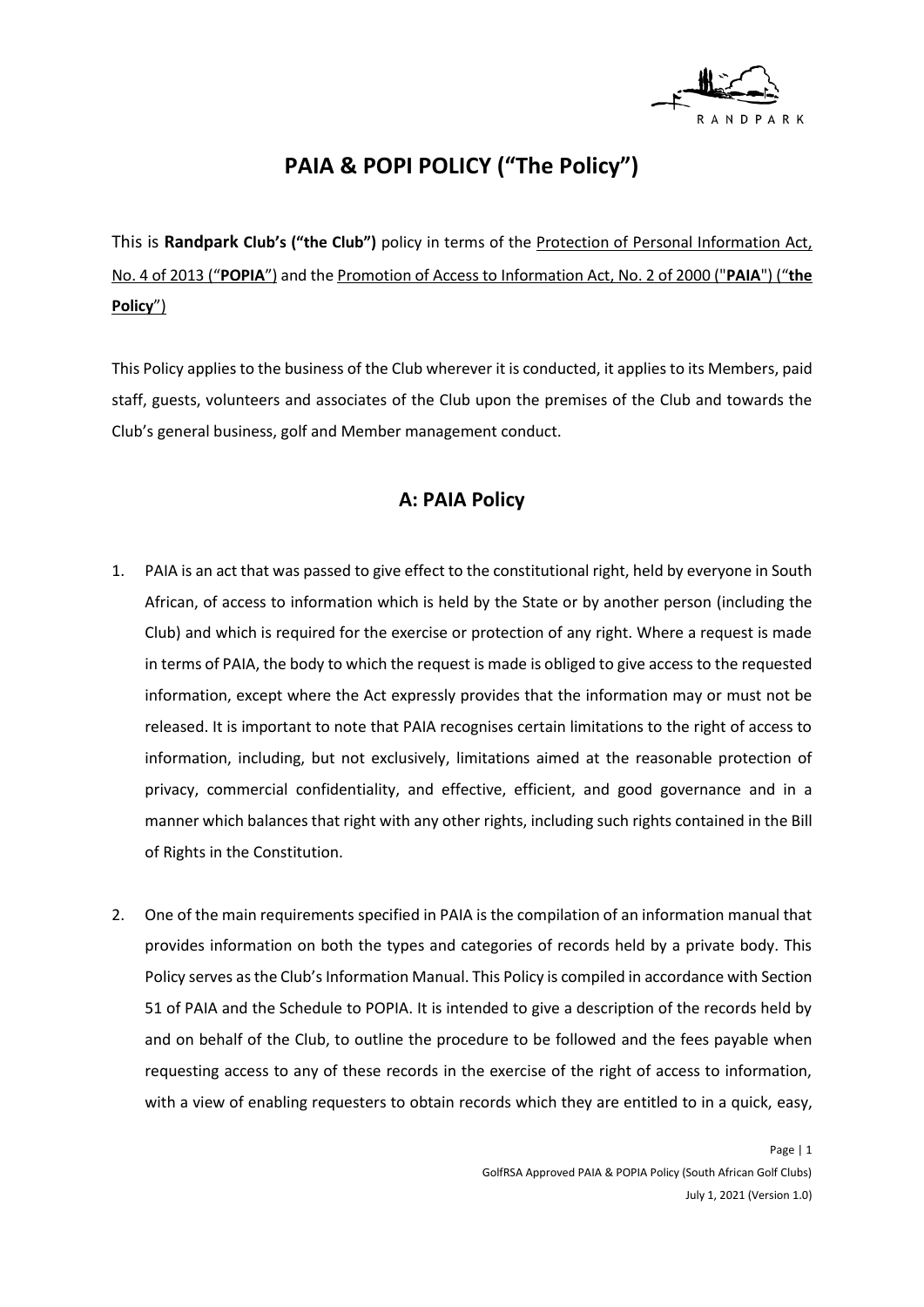

# **PAIA & POPI POLICY ("The Policy")**

This is **Randpark Club's ("the Club")** policy in terms of the Protection of Personal Information Act, No. 4 of 2013 ("**POPIA**") and the Promotion of Access to Information Act, No. 2 of 2000 ("**PAIA**") ("**the Policy**")

This Policy applies to the business of the Club wherever it is conducted, it applies to its Members, paid staff, guests, volunteers and associates of the Club upon the premises of the Club and towards the Club's general business, golf and Member management conduct.

# **A: PAIA Policy**

- 1. PAIA is an act that was passed to give effect to the constitutional right, held by everyone in South African, of access to information which is held by the State or by another person (including the Club) and which is required for the exercise or protection of any right. Where a request is made in terms of PAIA, the body to which the request is made is obliged to give access to the requested information, except where the Act expressly provides that the information may or must not be released. It is important to note that PAIA recognises certain limitations to the right of access to information, including, but not exclusively, limitations aimed at the reasonable protection of privacy, commercial confidentiality, and effective, efficient, and good governance and in a manner which balances that right with any other rights, including such rights contained in the Bill of Rights in the Constitution.
- 2. One of the main requirements specified in PAIA is the compilation of an information manual that provides information on both the types and categories of records held by a private body. This Policy serves as the Club's Information Manual. This Policy is compiled in accordance with Section 51 of PAIA and the Schedule to POPIA. It is intended to give a description of the records held by and on behalf of the Club, to outline the procedure to be followed and the fees payable when requesting access to any of these records in the exercise of the right of access to information, with a view of enabling requesters to obtain records which they are entitled to in a quick, easy,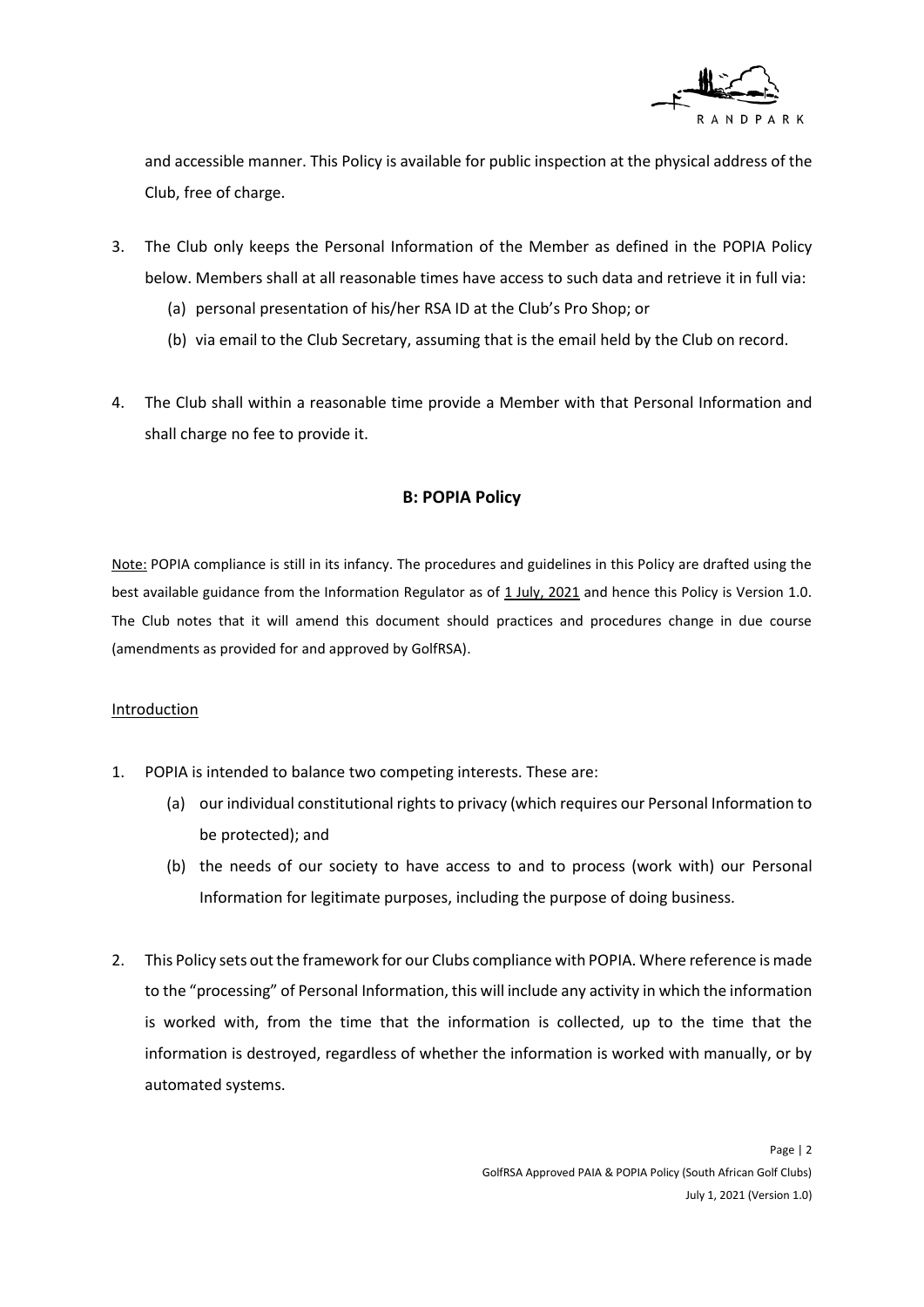

and accessible manner. This Policy is available for public inspection at the physical address of the Club, free of charge.

- 3. The Club only keeps the Personal Information of the Member as defined in the POPIA Policy below. Members shall at all reasonable times have access to such data and retrieve it in full via:
	- (a) personal presentation of his/her RSA ID at the Club's Pro Shop; or
	- (b) via email to the Club Secretary, assuming that is the email held by the Club on record.
- 4. The Club shall within a reasonable time provide a Member with that Personal Information and shall charge no fee to provide it.

## **B: POPIA Policy**

Note: POPIA compliance is still in its infancy. The procedures and guidelines in this Policy are drafted using the best available guidance from the Information Regulator as of 1 July, 2021 and hence this Policy is Version 1.0. The Club notes that it will amend this document should practices and procedures change in due course (amendments as provided for and approved by GolfRSA).

#### Introduction

- 1. POPIA is intended to balance two competing interests. These are:
	- (a) our individual constitutional rights to privacy (which requires our Personal Information to be protected); and
	- (b) the needs of our society to have access to and to process (work with) our Personal Information for legitimate purposes, including the purpose of doing business.
- 2. This Policy sets out the framework for our Clubs compliance with POPIA. Where reference is made to the "processing" of Personal Information, this will include any activity in which the information is worked with, from the time that the information is collected, up to the time that the information is destroyed, regardless of whether the information is worked with manually, or by automated systems.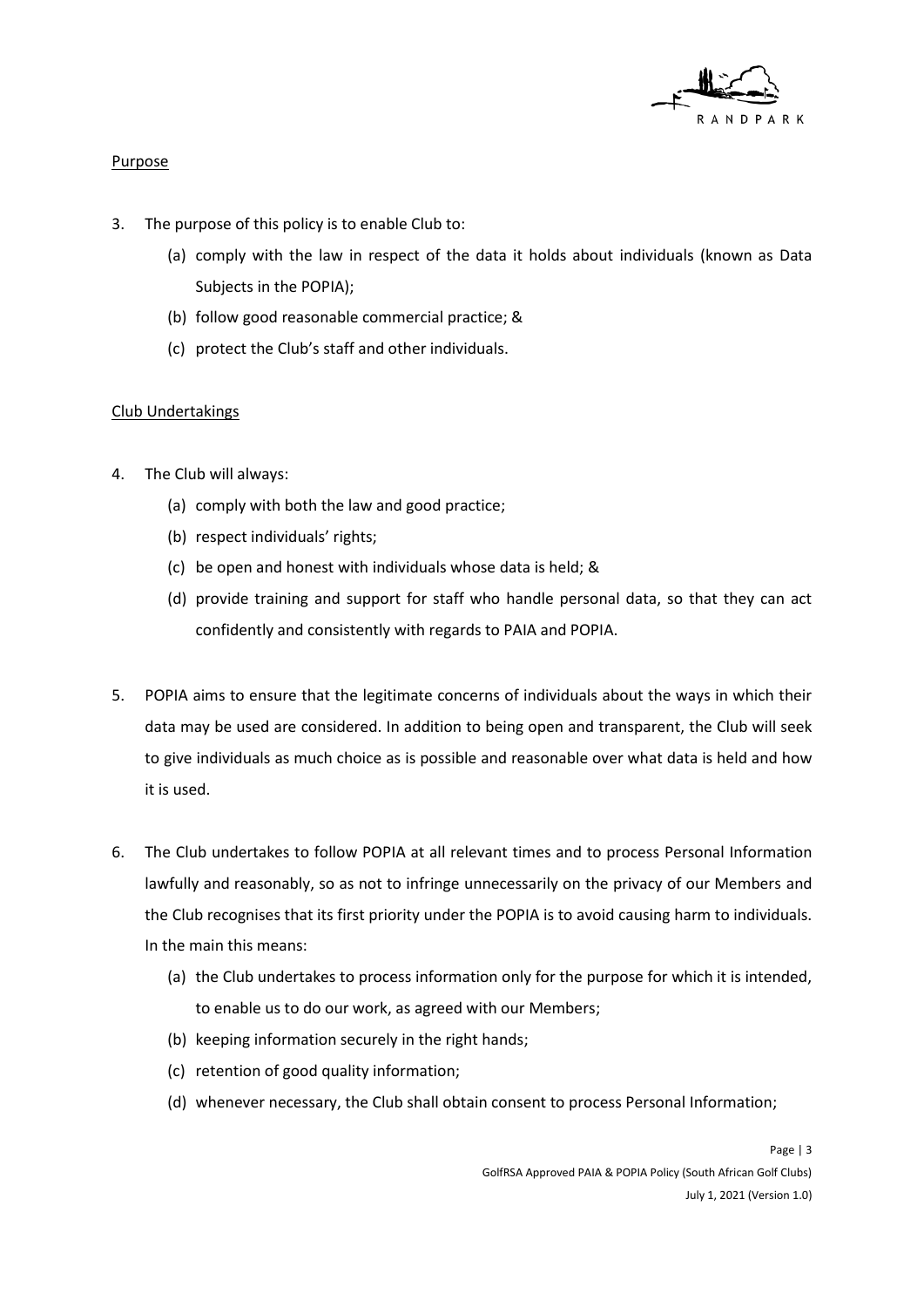

#### Purpose

- 3. The purpose of this policy is to enable Club to:
	- (a) comply with the law in respect of the data it holds about individuals (known as Data Subjects in the POPIA);
	- (b) follow good reasonable commercial practice; &
	- (c) protect the Club's staff and other individuals.

# Club Undertakings

- 4. The Club will always:
	- (a) comply with both the law and good practice;
	- (b) respect individuals' rights;
	- (c) be open and honest with individuals whose data is held; &
	- (d) provide training and support for staff who handle personal data, so that they can act confidently and consistently with regards to PAIA and POPIA.
- 5. POPIA aims to ensure that the legitimate concerns of individuals about the ways in which their data may be used are considered. In addition to being open and transparent, the Club will seek to give individuals as much choice as is possible and reasonable over what data is held and how it is used.
- 6. The Club undertakes to follow POPIA at all relevant times and to process Personal Information lawfully and reasonably, so as not to infringe unnecessarily on the privacy of our Members and the Club recognises that its first priority under the POPIA is to avoid causing harm to individuals. In the main this means:
	- (a) the Club undertakes to process information only for the purpose for which it is intended, to enable us to do our work, as agreed with our Members;
	- (b) keeping information securely in the right hands;
	- (c) retention of good quality information;
	- (d) whenever necessary, the Club shall obtain consent to process Personal Information;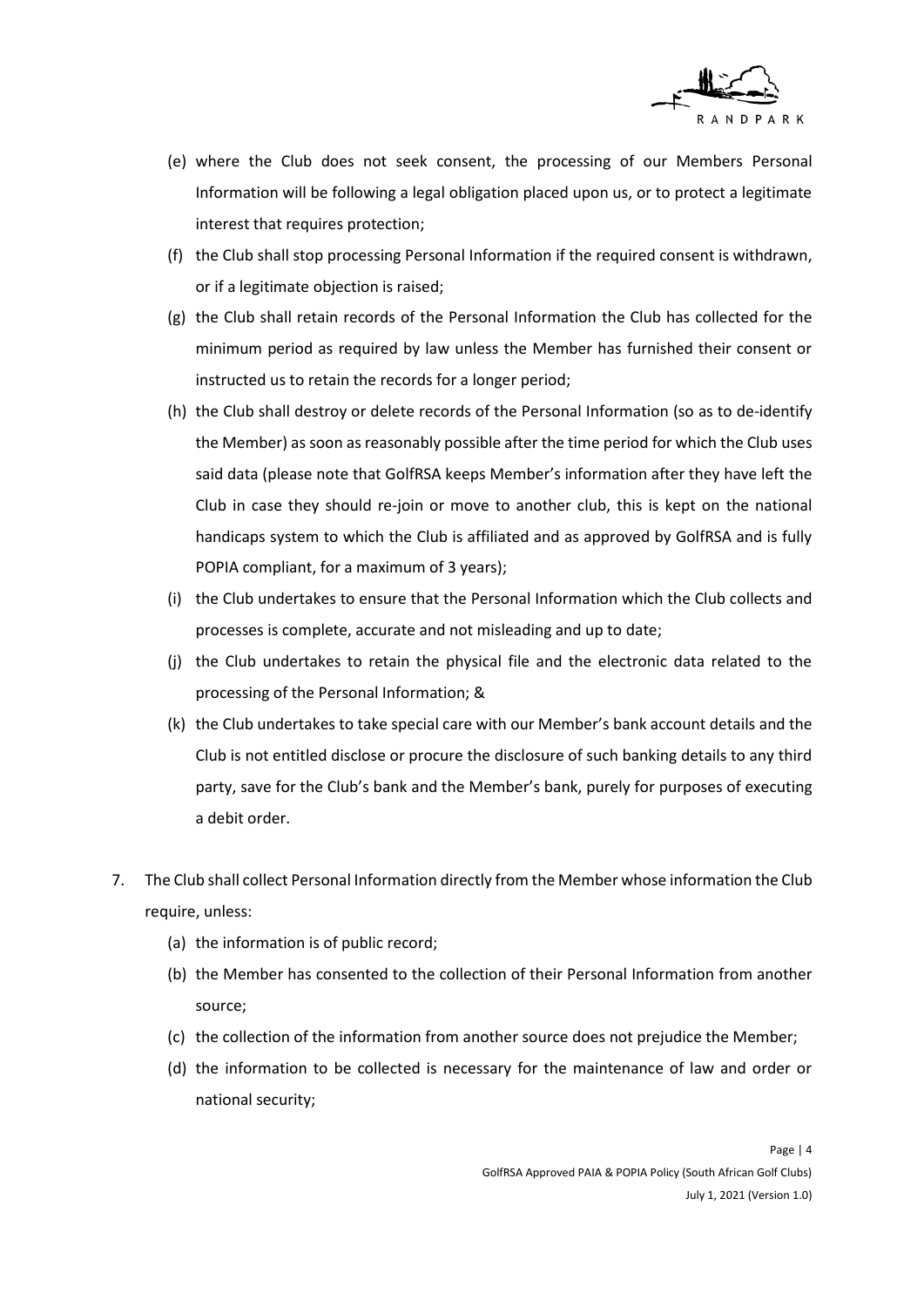

- (e) where the Club does not seek consent, the processing of our Members Personal Information will be following a legal obligation placed upon us, or to protect a legitimate interest that requires protection;
- (f) the Club shall stop processing Personal Information if the required consent is withdrawn, or if a legitimate objection is raised;
- (g) the Club shall retain records of the Personal Information the Club has collected for the minimum period as required by law unless the Member has furnished their consent or instructed us to retain the records for a longer period;
- (h) the Club shall destroy or delete records of the Personal Information (so as to de-identify the Member) as soon as reasonably possible after the time period for which the Club uses said data (please note that GolfRSA keeps Member's information after they have left the Club in case they should re-join or move to another club, this is kept on the national handicaps system to which the Club is affiliated and as approved by GolfRSA and is fully POPIA compliant, for a maximum of 3 years);
- (i) the Club undertakes to ensure that the Personal Information which the Club collects and processes is complete, accurate and not misleading and up to date;
- (j) the Club undertakes to retain the physical file and the electronic data related to the processing of the Personal Information; &
- (k) the Club undertakes to take special care with our Member's bank account details and the Club is not entitled disclose or procure the disclosure of such banking details to any third party, save for the Club's bank and the Member's bank, purely for purposes of executing a debit order.
- 7. The Club shall collect Personal Information directly from the Member whose information the Club require, unless:
	- (a) the information is of public record;
	- (b) the Member has consented to the collection of their Personal Information from another source;
	- (c) the collection of the information from another source does not prejudice the Member;
	- (d) the information to be collected is necessary for the maintenance of law and order or national security;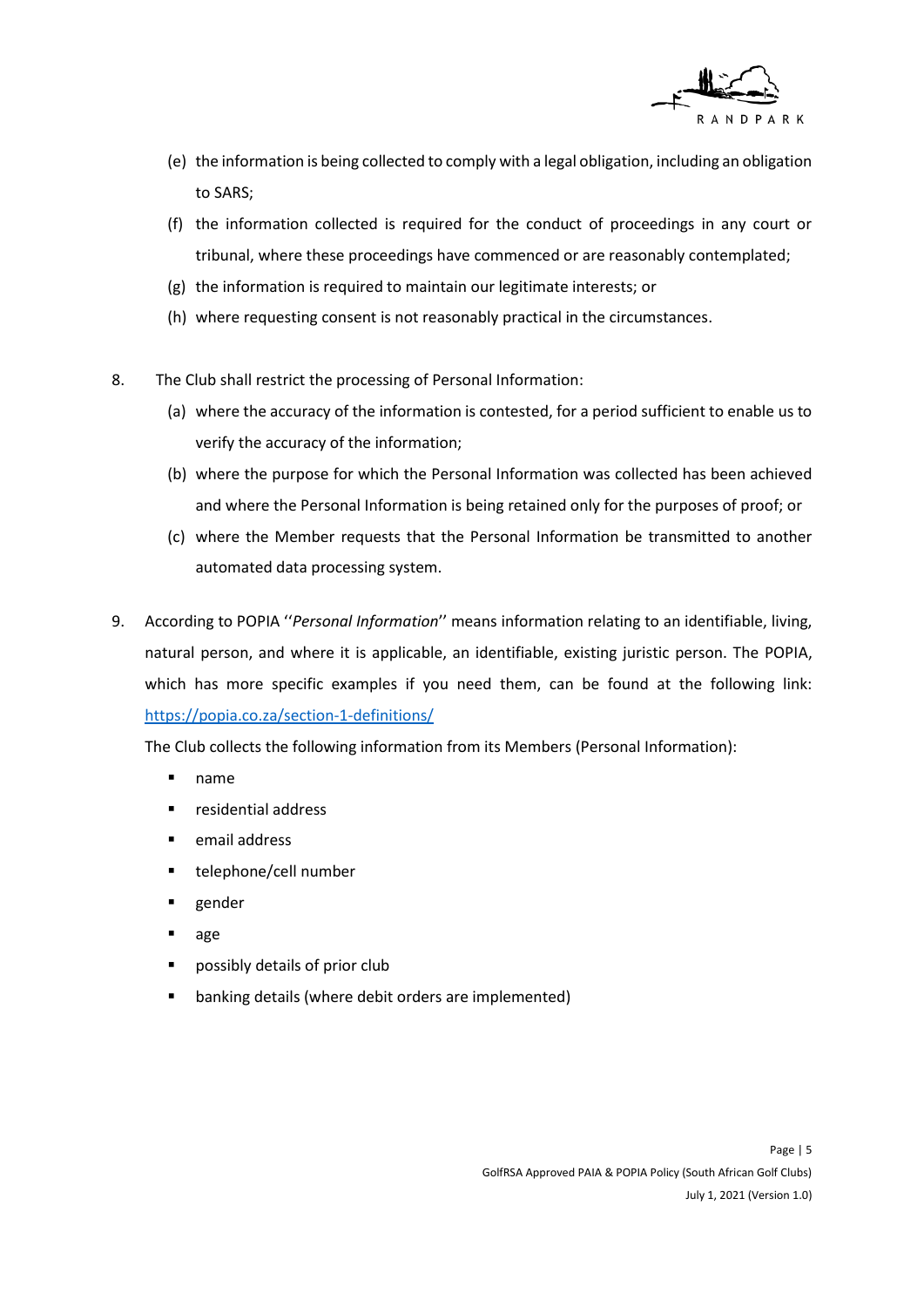

- (e) the information is being collected to comply with a legal obligation, including an obligation to SARS;
- (f) the information collected is required for the conduct of proceedings in any court or tribunal, where these proceedings have commenced or are reasonably contemplated;
- (g) the information is required to maintain our legitimate interests; or
- (h) where requesting consent is not reasonably practical in the circumstances.
- 8. The Club shall restrict the processing of Personal Information:
	- (a) where the accuracy of the information is contested, for a period sufficient to enable us to verify the accuracy of the information;
	- (b) where the purpose for which the Personal Information was collected has been achieved and where the Personal Information is being retained only for the purposes of proof; or
	- (c) where the Member requests that the Personal Information be transmitted to another automated data processing system.
- 9. According to POPIA ''*Personal Information*'' means information relating to an identifiable, living, natural person, and where it is applicable, an identifiable, existing juristic person. The POPIA, which has more specific examples if you need them, can be found at the following link: <https://popia.co.za/section-1-definitions/>

The Club collects the following information from its Members (Personal Information):

- name
- residential address
- **E** email address
- telephone/cell number
- gender
- age
- possibly details of prior club
- banking details (where debit orders are implemented)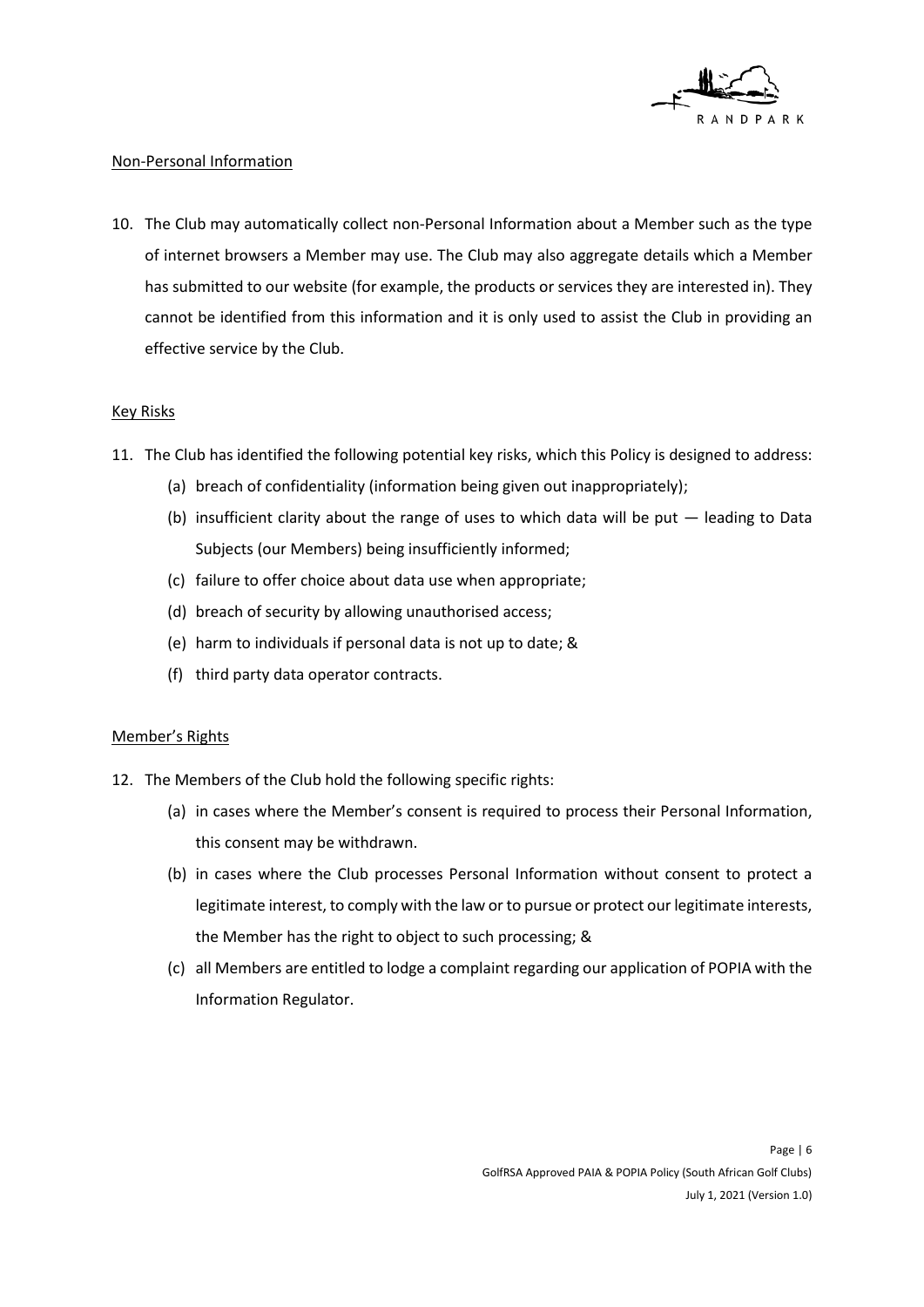

#### Non-Personal Information

10. The Club may automatically collect non-Personal Information about a Member such as the type of internet browsers a Member may use. The Club may also aggregate details which a Member has submitted to our website (for example, the products or services they are interested in). They cannot be identified from this information and it is only used to assist the Club in providing an effective service by the Club.

#### Key Risks

- 11. The Club has identified the following potential key risks, which this Policy is designed to address:
	- (a) breach of confidentiality (information being given out inappropriately);
	- (b) insufficient clarity about the range of uses to which data will be put leading to Data Subjects (our Members) being insufficiently informed;
	- (c) failure to offer choice about data use when appropriate;
	- (d) breach of security by allowing unauthorised access;
	- (e) harm to individuals if personal data is not up to date; &
	- (f) third party data operator contracts.

#### Member's Rights

- 12. The Members of the Club hold the following specific rights:
	- (a) in cases where the Member's consent is required to process their Personal Information, this consent may be withdrawn.
	- (b) in cases where the Club processes Personal Information without consent to protect a legitimate interest, to comply with the law or to pursue or protect our legitimate interests, the Member has the right to object to such processing; &
	- (c) all Members are entitled to lodge a complaint regarding our application of POPIA with the Information Regulator.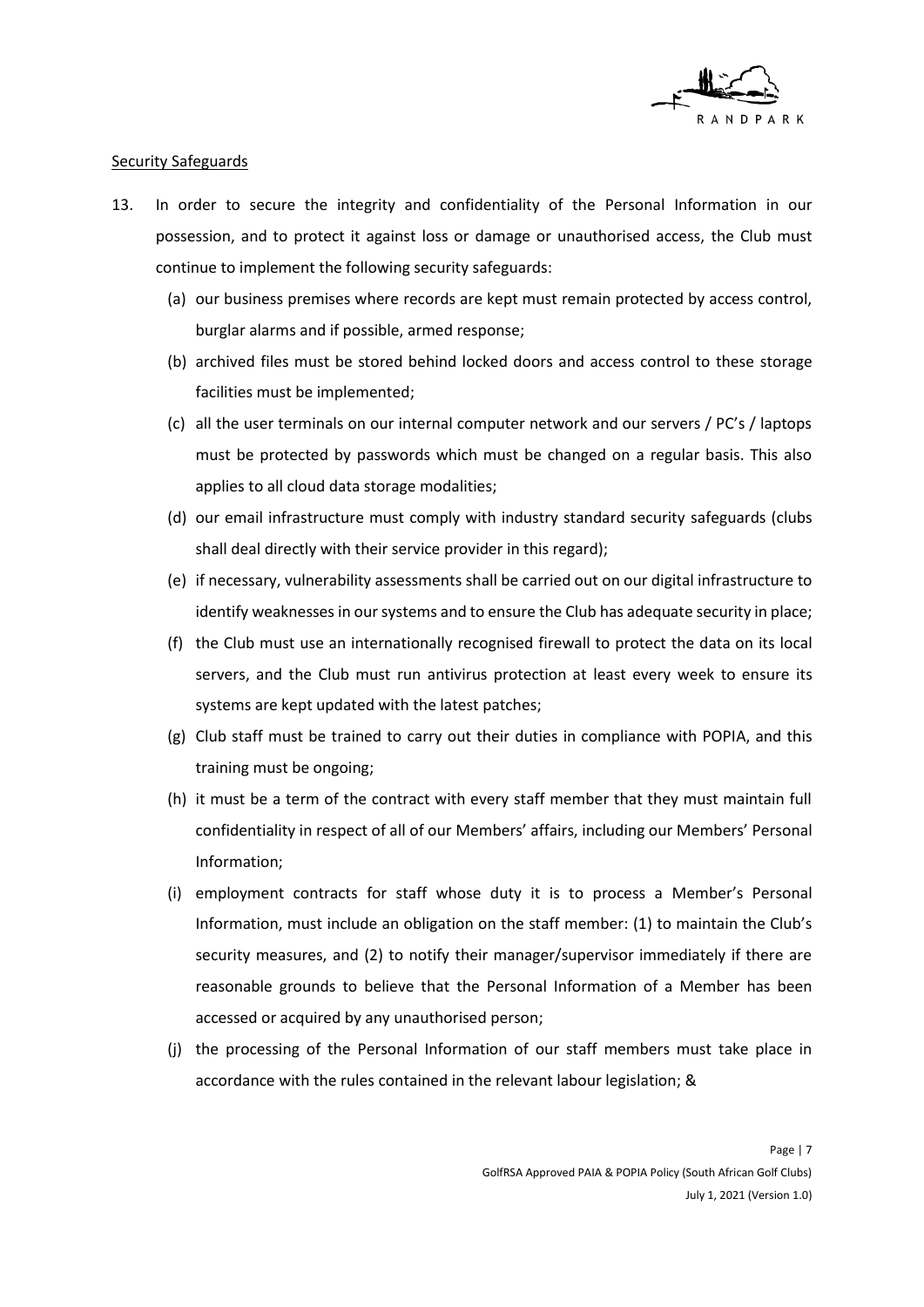

#### Security Safeguards

- 13. In order to secure the integrity and confidentiality of the Personal Information in our possession, and to protect it against loss or damage or unauthorised access, the Club must continue to implement the following security safeguards:
	- (a) our business premises where records are kept must remain protected by access control, burglar alarms and if possible, armed response;
	- (b) archived files must be stored behind locked doors and access control to these storage facilities must be implemented;
	- (c) all the user terminals on our internal computer network and our servers / PC's / laptops must be protected by passwords which must be changed on a regular basis. This also applies to all cloud data storage modalities;
	- (d) our email infrastructure must comply with industry standard security safeguards (clubs shall deal directly with their service provider in this regard);
	- (e) if necessary, vulnerability assessments shall be carried out on our digital infrastructure to identify weaknesses in our systems and to ensure the Club has adequate security in place;
	- (f) the Club must use an internationally recognised firewall to protect the data on its local servers, and the Club must run antivirus protection at least every week to ensure its systems are kept updated with the latest patches;
	- (g) Club staff must be trained to carry out their duties in compliance with POPIA, and this training must be ongoing;
	- (h) it must be a term of the contract with every staff member that they must maintain full confidentiality in respect of all of our Members' affairs, including our Members' Personal Information;
	- (i) employment contracts for staff whose duty it is to process a Member's Personal Information, must include an obligation on the staff member: (1) to maintain the Club's security measures, and (2) to notify their manager/supervisor immediately if there are reasonable grounds to believe that the Personal Information of a Member has been accessed or acquired by any unauthorised person;
	- (j) the processing of the Personal Information of our staff members must take place in accordance with the rules contained in the relevant labour legislation; &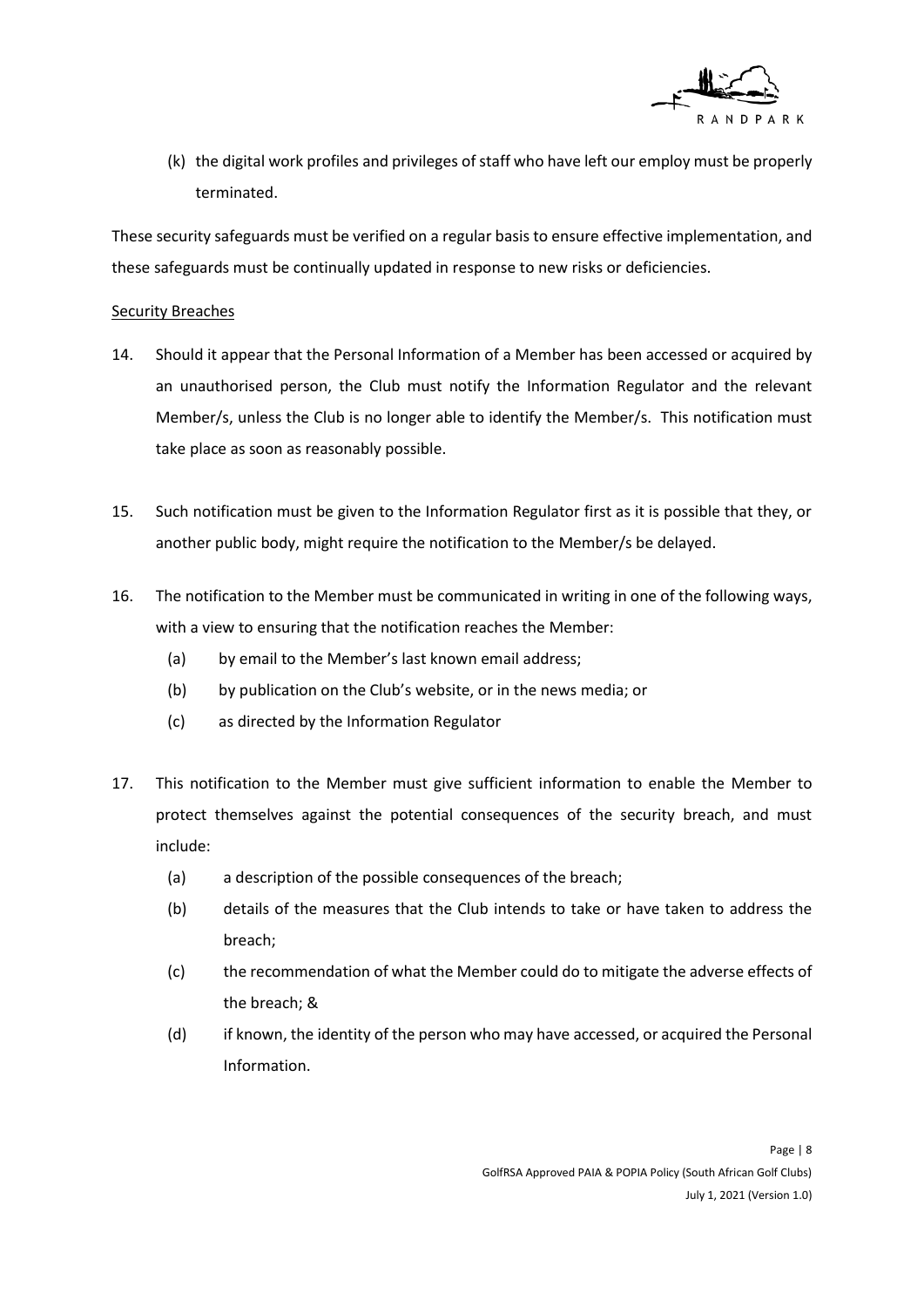

(k) the digital work profiles and privileges of staff who have left our employ must be properly terminated.

These security safeguards must be verified on a regular basis to ensure effective implementation, and these safeguards must be continually updated in response to new risks or deficiencies.

#### **Security Breaches**

- 14. Should it appear that the Personal Information of a Member has been accessed or acquired by an unauthorised person, the Club must notify the Information Regulator and the relevant Member/s, unless the Club is no longer able to identify the Member/s. This notification must take place as soon as reasonably possible.
- 15. Such notification must be given to the Information Regulator first as it is possible that they, or another public body, might require the notification to the Member/s be delayed.
- 16. The notification to the Member must be communicated in writing in one of the following ways, with a view to ensuring that the notification reaches the Member:
	- (a) by email to the Member's last known email address;
	- (b) by publication on the Club's website, or in the news media; or
	- (c) as directed by the Information Regulator
- 17. This notification to the Member must give sufficient information to enable the Member to protect themselves against the potential consequences of the security breach, and must include:
	- (a) a description of the possible consequences of the breach;
	- (b) details of the measures that the Club intends to take or have taken to address the breach;
	- (c) the recommendation of what the Member could do to mitigate the adverse effects of the breach; &
	- (d) if known, the identity of the person who may have accessed, or acquired the Personal Information.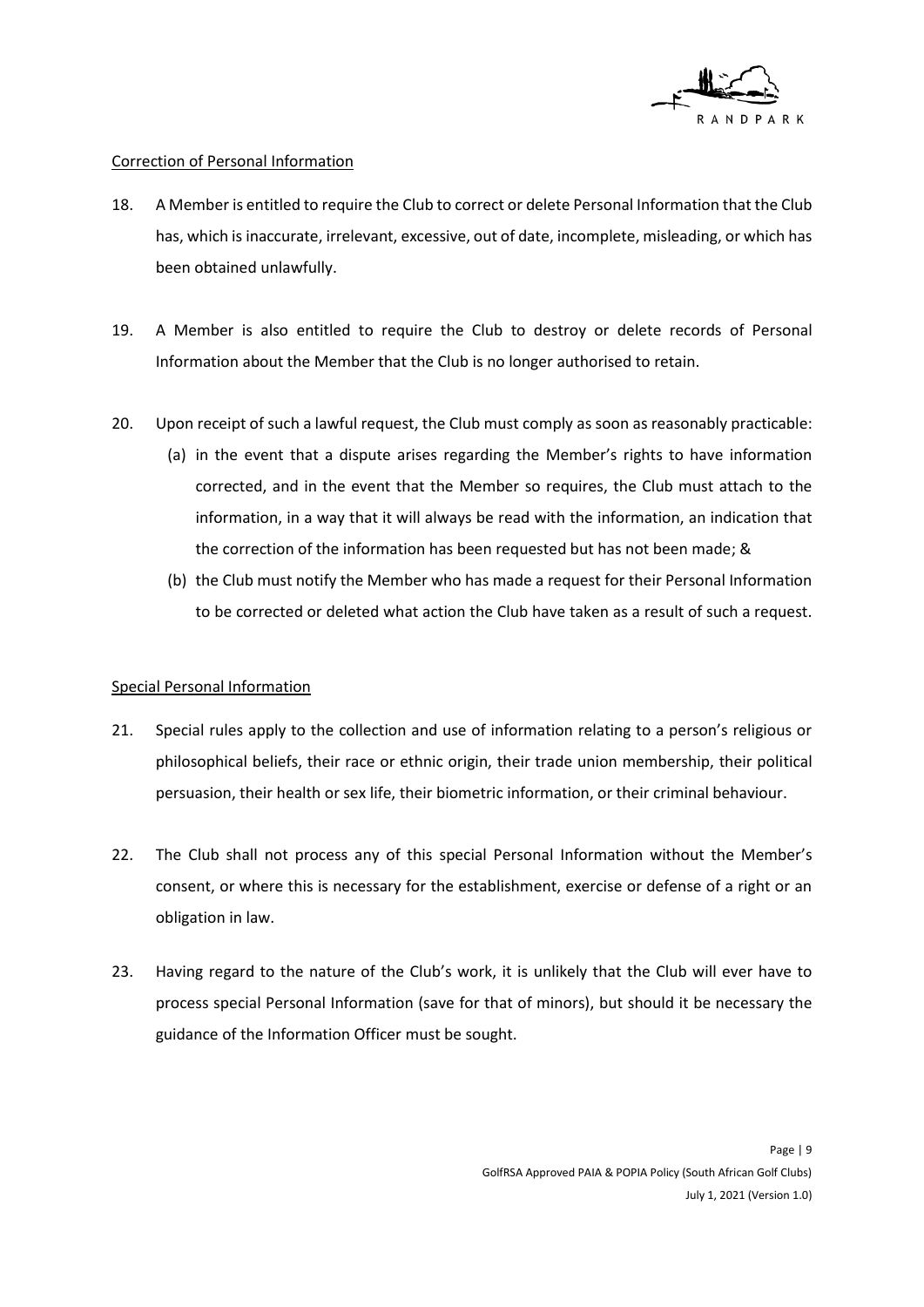

#### Correction of Personal Information

- 18. A Member is entitled to require the Club to correct or delete Personal Information that the Club has, which is inaccurate, irrelevant, excessive, out of date, incomplete, misleading, or which has been obtained unlawfully.
- 19. A Member is also entitled to require the Club to destroy or delete records of Personal Information about the Member that the Club is no longer authorised to retain.
- 20. Upon receipt of such a lawful request, the Club must comply as soon as reasonably practicable:
	- (a) in the event that a dispute arises regarding the Member's rights to have information corrected, and in the event that the Member so requires, the Club must attach to the information, in a way that it will always be read with the information, an indication that the correction of the information has been requested but has not been made; &
	- (b) the Club must notify the Member who has made a request for their Personal Information to be corrected or deleted what action the Club have taken as a result of such a request.

#### Special Personal Information

- 21. Special rules apply to the collection and use of information relating to a person's religious or philosophical beliefs, their race or ethnic origin, their trade union membership, their political persuasion, their health or sex life, their biometric information, or their criminal behaviour.
- 22. The Club shall not process any of this special Personal Information without the Member's consent, or where this is necessary for the establishment, exercise or defense of a right or an obligation in law.
- 23. Having regard to the nature of the Club's work, it is unlikely that the Club will ever have to process special Personal Information (save for that of minors), but should it be necessary the guidance of the Information Officer must be sought.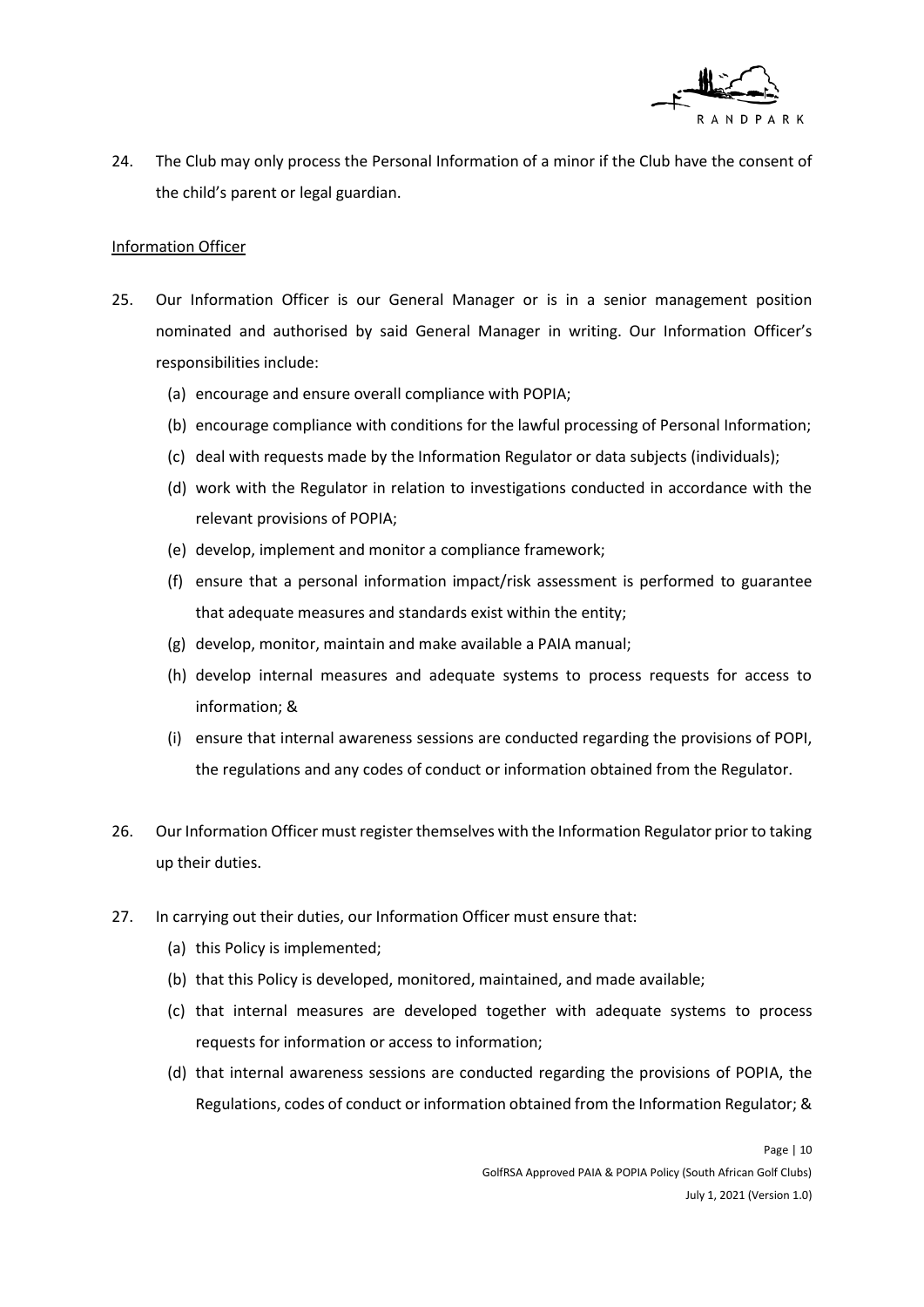

24. The Club may only process the Personal Information of a minor if the Club have the consent of the child's parent or legal guardian.

#### Information Officer

- 25. Our Information Officer is our General Manager or is in a senior management position nominated and authorised by said General Manager in writing. Our Information Officer's responsibilities include:
	- (a) encourage and ensure overall compliance with POPIA;
	- (b) encourage compliance with conditions for the lawful processing of Personal Information;
	- (c) deal with requests made by the Information Regulator o[r data subjects](https://www.serr.co.za/popi-act-update-other-sections-of-popi-act-proclaimed) (individuals);
	- (d) work with the Regulator in relation to investigations conducted in accordance with the relevant provisions of POPIA;
	- (e) develop, implement and monitor a compliance framework;
	- (f) ensure that a personal information impact/risk assessment is performed to guarantee that adequate measures and standards exist within the entity;
	- (g) develop, monitor, maintain and make available a PAIA manual;
	- (h) develop internal measures and adequate systems to process requests for access to information; &
	- (i) ensure that internal awareness sessions are conducted regarding the provisions of POPI, the regulations and any codes of conduct or information obtained from the Regulator.
- 26. Our Information Officer must register themselves with the Information Regulator prior to taking up their duties.
- 27. In carrying out their duties, our Information Officer must ensure that:
	- (a) this Policy is implemented;
	- (b) that this Policy is developed, monitored, maintained, and made available;
	- (c) that internal measures are developed together with adequate systems to process requests for information or access to information;
	- (d) that internal awareness sessions are conducted regarding the provisions of POPIA, the Regulations, codes of conduct or information obtained from the Information Regulator; &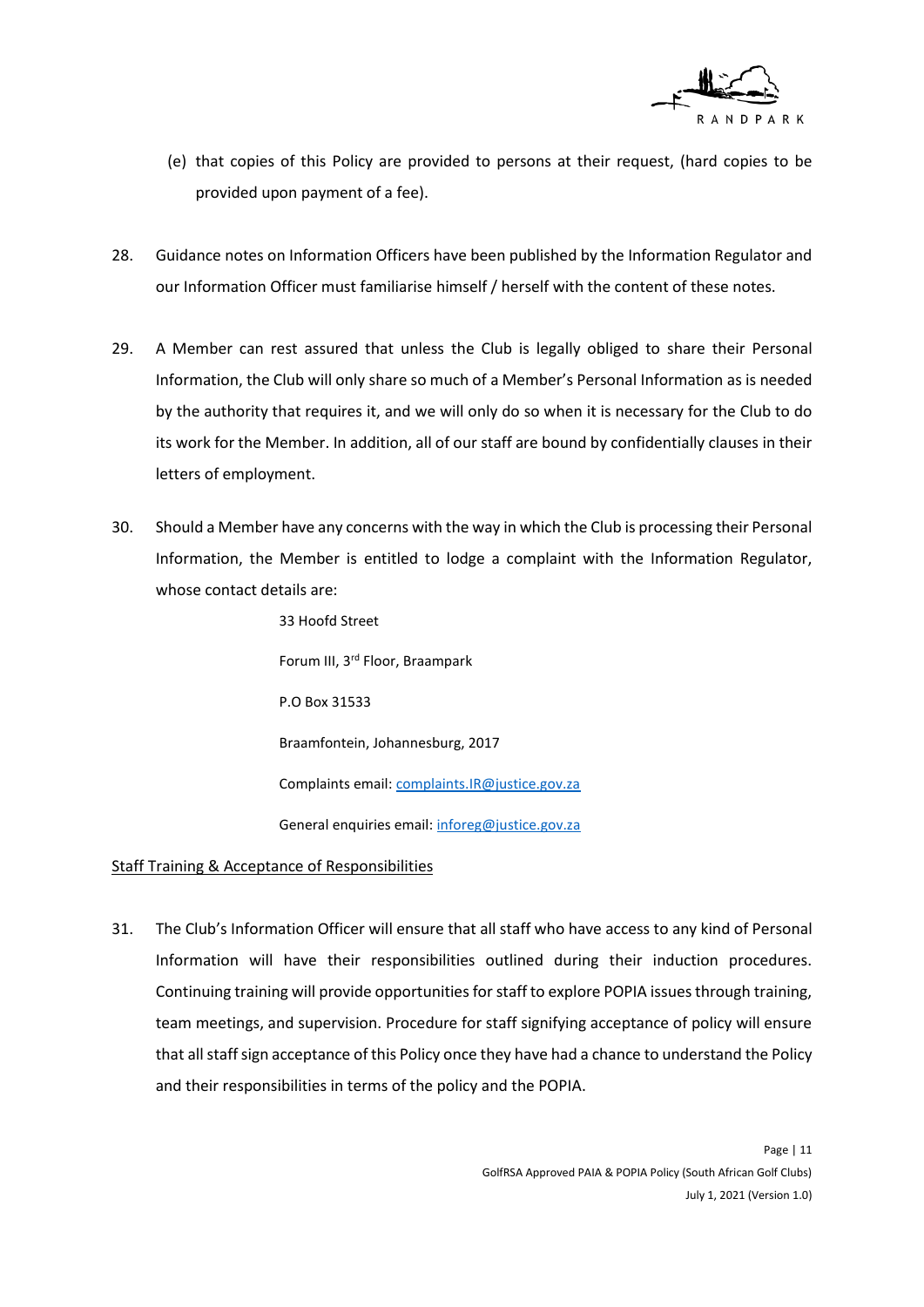

- (e) that copies of this Policy are provided to persons at their request, (hard copies to be provided upon payment of a fee).
- 28. Guidance notes on Information Officers have been published by the Information Regulator and our Information Officer must familiarise himself / herself with the content of these notes.
- 29. A Member can rest assured that unless the Club is legally obliged to share their Personal Information, the Club will only share so much of a Member's Personal Information as is needed by the authority that requires it, and we will only do so when it is necessary for the Club to do its work for the Member. In addition, all of our staff are bound by confidentially clauses in their letters of employment.
- 30. Should a Member have any concerns with the way in which the Club is processing their Personal Information, the Member is entitled to lodge a complaint with the Information Regulator, whose contact details are:

33 Hoofd Street Forum III, 3rd Floor, Braampark P.O Box 31533 Braamfontein, Johannesburg, 2017 Complaints email: complaints.IR@justice.gov.za General enquiries email[: inforeg@justice.gov.za](mailto:inforeg@justice.gov.za)

#### Staff Training & Acceptance of Responsibilities

31. The Club's Information Officer will ensure that all staff who have access to any kind of Personal Information will have their responsibilities outlined during their induction procedures. Continuing training will provide opportunities for staff to explore POPIA issues through training, team meetings, and supervision. Procedure for staff signifying acceptance of policy will ensure that all staff sign acceptance of this Policy once they have had a chance to understand the Policy and their responsibilities in terms of the policy and the POPIA.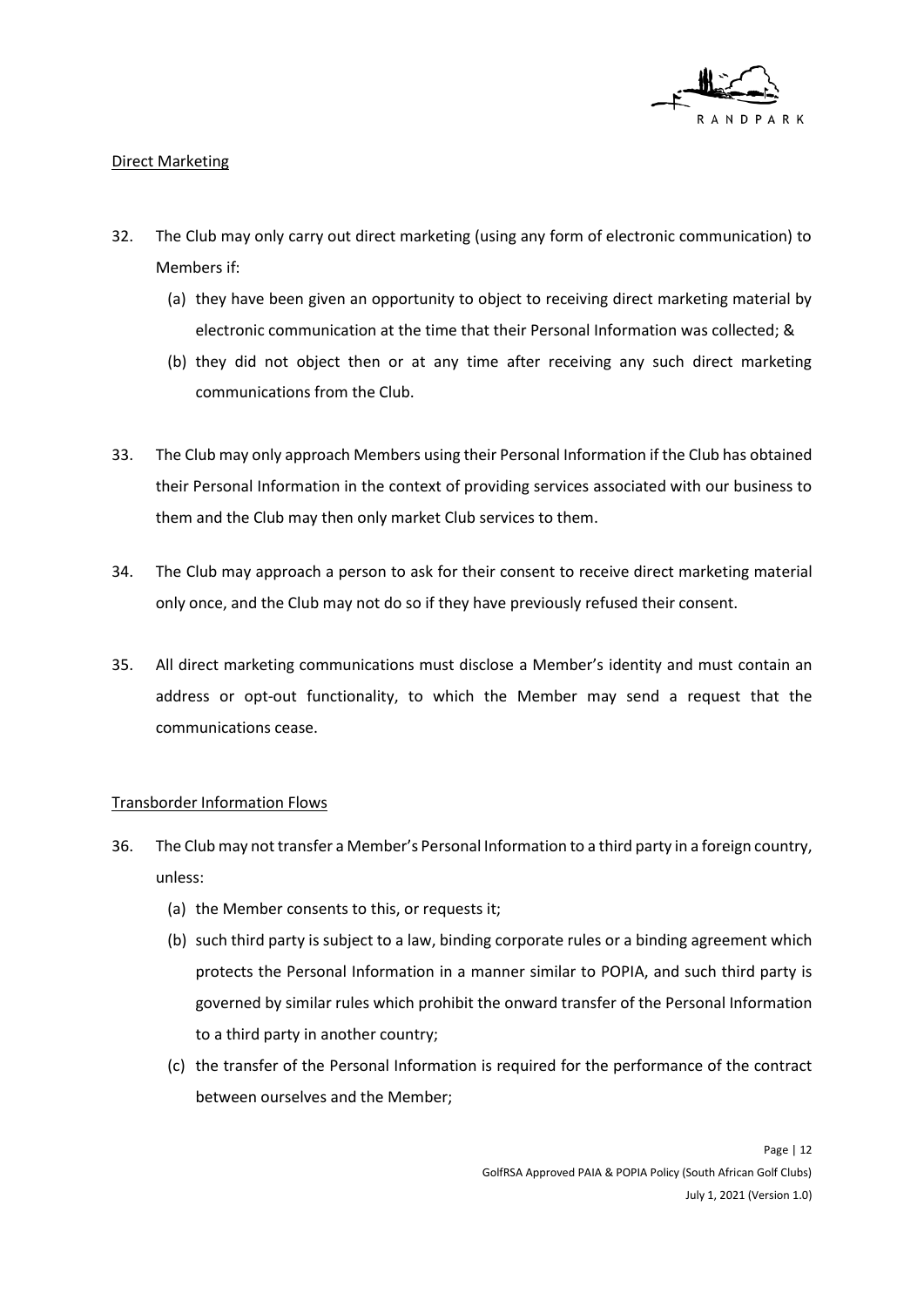

## Direct Marketing

- 32. The Club may only carry out direct marketing (using any form of electronic communication) to Members if:
	- (a) they have been given an opportunity to object to receiving direct marketing material by electronic communication at the time that their Personal Information was collected; &
	- (b) they did not object then or at any time after receiving any such direct marketing communications from the Club.
- 33. The Club may only approach Members using their Personal Information if the Club has obtained their Personal Information in the context of providing services associated with our business to them and the Club may then only market Club services to them.
- 34. The Club may approach a person to ask for their consent to receive direct marketing material only once, and the Club may not do so if they have previously refused their consent.
- 35. All direct marketing communications must disclose a Member's identity and must contain an address or opt-out functionality, to which the Member may send a request that the communications cease.

#### Transborder Information Flows

- 36. The Club may not transfer a Member's Personal Information to a third party in a foreign country, unless:
	- (a) the Member consents to this, or requests it;
	- (b) such third party is subject to a law, binding corporate rules or a binding agreement which protects the Personal Information in a manner similar to POPIA, and such third party is governed by similar rules which prohibit the onward transfer of the Personal Information to a third party in another country;
	- (c) the transfer of the Personal Information is required for the performance of the contract between ourselves and the Member;